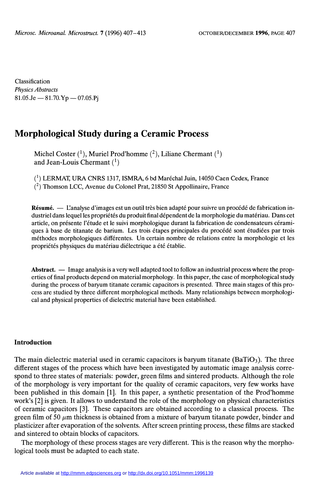Classification Physics Abstracts  $81.05 \text{Je} - 81.70 \text{.Yp} - 07.05 \text{.Pj}$ 

# Morphological Study during a Ceramic Process

Michel Coster  $(1)$ , Muriel Prod'homme  $(2)$ , Liliane Chermant  $(1)$ and Jean-Louis Chermant  $(1)$ 

(1) LERMAT, URA CNRS 1317, ISMRA, 6 bd Maréchal Juin, 14050 Caen Cedex, France (2) Thomson LCC, Avenue du Colonel Prat, 21850 St Appollinaire, France

Résumé. — L'analyse d'images est un outil très bien adapté pour suivre un procédé de fabrication industriel dans lequel les propriétés du produit final dépendent de la morphologie du matériau. Dans cet article, on présente l'étude et le suivi morphologique durant la fabrication de condensateurs céramiques à base de titanate de barium. Les trois étapes principales du procédé sont étudiées par trois méthodes morphologiques différentes. Un certain nombre de relations entre la morphologie et les propriétés physiques du matériau diélectrique a été établie.

Abstract. — Image analysis is a very well adapted tool to follow an industrial process where the properties of final products depend on material morphology. In this paper, the case of morphological study during the process of baryum titanate ceramic capacitors is presented. Three main stages of this process are studied by three different morphological methods. Many relationships between morphological and physical properties of dielectric material have been established.

# **Introduction**

The main dielectric material used in ceramic capacitors is baryum titanate  $(BaTiO<sub>3</sub>)$ . The three different stages of the process which have been investigated by automatic image analysis correspond to three states of materials: powder, green films and sintered products. Although the role of the morphology is very important for the quality of ceramic capacitors, very few works have been published in this domain [1]. In this paper, a synthetic presentation of the Prod'homme work's [2] is given. It allows to understand the role of the morphology on physical characteristics of ceramic capacitors [3]. These capacitors are obtained according to a classical process. The green film of  $50 \mu$ m thickness is obtained from a mixture of baryum titanate powder, binder and plasticizer after evaporation of the solvents. After screen printing process, these films are stacked and sintered to obtain blocks of capacitors.

The morphology of these process stages are very different. This is the reason why the morphological tools must be adapted to each state.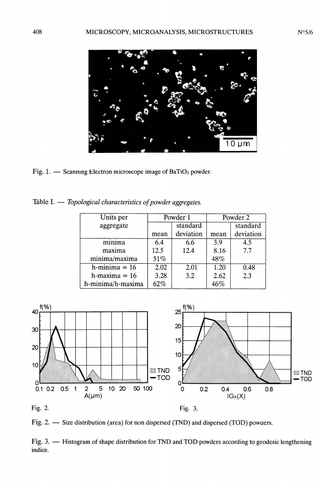$10 \mu m$ 

Fig. 1.  $\frac{1}{1}$  Scanning Electron microscope image of BaTiO<sub>3</sub> powder.

Table I.  $-$  Topological characteristics of powder aggregates.

| Units per         | Powder 1 |           | Powder 2 |           |
|-------------------|----------|-----------|----------|-----------|
| aggregate         |          | standard  |          | standard  |
|                   | mean     | deviation | mean     | deviation |
| minima            | 6.4      | 6.6       | 3.9      | 4.5       |
| maxima            | 12.5     | 12.4      | 8.16     | 7.7       |
| minima/maxima     | 51%      |           | 48%      |           |
| $h$ -minima = 16  | 2.02     | 2.01      | 1.20     | 0.48      |
| h-maxima $= 16$   | 3.28     | 3.2       | 2.62     | 2.3       |
| h-minima/h-maxima | 62%      |           | 46%      |           |





Fig. 2.  $-$  Size distribution (area) for non dispersed (TND) and dispersed (TOD) powders.

Fig. 3. - Histogram of shape distribution for TND and TOD powders according to geodesic lengthening indice.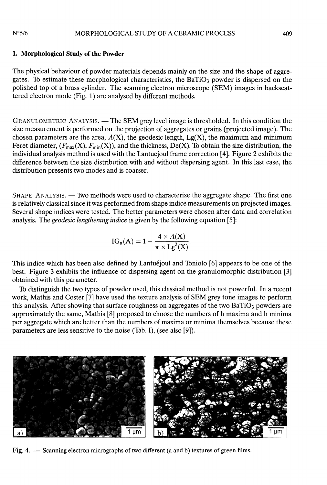#### $N°5/6$ MORPHOLOGICAL STUDY OF A CERAMIC PROCESS

# 1. Morphological Study of the Powder

The physical behaviour of powder materials depends mainly on the size and the shape of aggregates. To estimate these morphological characteristics, the BaTiO<sub>3</sub> powder is dispersed on the polished top of a brass cylinder. The scanning electron microscope (SEM) images in backscattered electron mode (Fig. 1) are analysed by different methods.

GRANULOMETRIC ANALYSIS. - The SEM grey level image is thresholded. In this condition the size measurement is performed on the projection of aggregates or grains (projected image). The chosen parameters are the area,  $A(X)$ , the geodesic length,  $Lg(X)$ , the maximum and minimum Feret diameter,  $(F_{\text{max}}(X), F_{\text{min}}(X))$ , and the thickness, De(X). To obtain the size distribution, the individual analysis method is used with the Lantuejoul frame correction [4]. Figure 2 exhibits the difference between the size distribution with and without dispersing agent. In this last case, the distribution presents two modes and is coarser.

SHAPE ANALYSIS. — Two methods were used to characterize the aggregate shape. The first one is relatively classical since it was performed from shape indice measurements on projected images. Several shape indices were tested. The better parameters were chosen after data and correlation analysis. The geodesic lengthening indice is given by the following equation [5]:

$$
IG_a(A) = 1 - \frac{4 \times A(X)}{\pi \times Lg^2(X)}.
$$

This indice which has been also defined by Lantuéjoul and Toniolo [6] appears to be one of the best. Figure 3 exhibits the influence of dispersing agent on the granulomorphic distribution [3] obtained with this parameter.

To distinguish the two types of powder used, this classical method is not powerful. In a recent work, Mathis and Coster [7] have used the texture analysis of SEM grey tone images to perform this analysis. After showing that surface roughness on aggregates of the two BaTiO<sub>3</sub> powders are approximately the same, Mathis [8] proposed to choose the numbers of h maxima and h minima per aggregate which are better than the numbers of maxima or minima themselves because these parameters are less sensitive to the noise (Tab. I), (see also [9]).



Fig. 4. - Scanning electron micrographs of two different (a and b) textures of green films.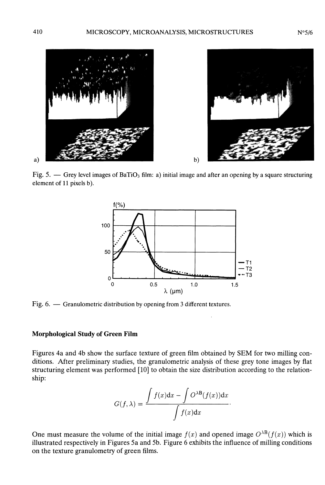

Fig. 5.  $\rightarrow$  Grey level images of BaTiO<sub>3</sub> film: a) initial image and after an opening by a square structuring element of 11 pixels b).



Fig. 6. - Granulometric distribution by opening from 3 different textures.

# Morphological Study of Green Film

Figures 4a and 4b show the surface texture of green film obtained by SEM for two milling conditions. After preliminary studies, the granulometric analysis of these grey tone images by flat structuring element was performed [10] to obtain the size distribution according to the relationship:

$$
G(f,\lambda) = \frac{\int f(x)dx - \int O^{\lambda B}(f(x))dx}{\int f(x)dx}
$$

One must measure the volume of the initial image  $f(x)$  and opened image  $O^{\lambda}B(f(x))$  which is illustrated respectively in Figures 5a and 5b. Figure 6 exhibits the influence of milling conditions on the texture granulometry of green films.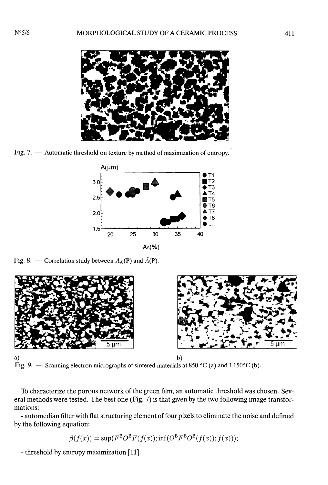

Fig. 7. - Automatic threshold on texture by method of maximization of entropy.



Fig. 8. — Correlation study between  $A_A(P)$  and  $\bar{A}(P)$ .





a)<br>Fig. 9. — Scanning electron micrographs of sintered materials at 850 °C (a) and 1150 °C (b).

To characterize the porous network of the green film, an automatic threshold was chosen. Several methods were tested. The best one (Fig. 7) is that given by the two following image transformations:

- automedian filter with flat structuring element of four pixels to eliminate the noise and defined by the following equation:

$$
\beta(f(x)) = \sup(F^B O^B F(f(x)); \inf(O^B F^B O^B (f(x)); f(x))),
$$

- threshold by entropy maximization [11].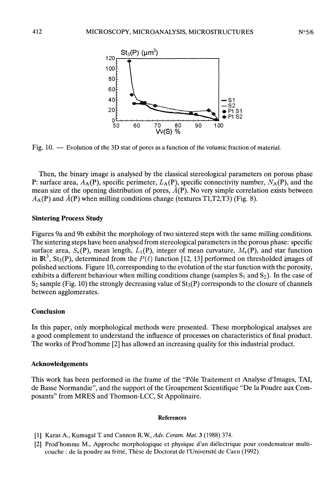

Fig. 10. — Evolution of the 3D star of pores as a function of the volumic fraction of material.

Then, the binary image is analysed by the classical stereological parameters on porous phase P: surface area,  $A_A(P)$ , specific perimeter,  $L_A(P)$ , specific connectivity number,  $N_A(P)$ , and the mean size of the opening distribution of pores,  $\vec{A}(\vec{P})$ . No very simple correlation exists between  $A_A$ (P) and  $\bar{A}$ (P) when milling conditions change (textures T1,T2,T3) (Fig. 8).

### Sintering Process Study

Figures 9a and 9b exhibit the morphology of two sintered steps with the same milling conditions. The sintering steps have been analysed from stereological parameters in the porous phase: specific surface area,  $S_v(P)$ , mean length,  $L_1(P)$ , integer of mean curvature,  $M_v(P)$ , and star function in  $\mathbb{R}^3$ , St<sub>3</sub>(P), determined from the  $P(\ell)$  function [12, 13] performed on thresholded images of polished sections. Figure 10, corresponding to the evolution of the star function with the porosity, exhibits a different behaviour when milling conditions change (samples  $S_1$  and  $S_2$ ). In the case of  $S_2$  sample (Fig. 10) the strongly decreasing value of  $St_3(P)$  corresponds to the closure of channels between agglomerates.

# Conclusion

In this paper, only morphological methods were presented. These morphological analyses are a good complement to understand the influence of processes on characteristics of final product. The works of Prod'homme [2] has allowed an increasing quality for this industrial product.

### Acknowledgements

This work has been performed in the frame of the "Pôle Traitement et Analyse d'Images, TAI, de Basse Normandie", and the support of the Groupement Scientifique "De la Poudre aux Composants" from MRES and Thomson-LCC, St Appolinaire.

#### **References**

- [1] Karas A., Kumagal T. and Cannon R.W., Adv. Ceram. Mat. 3 (1988) 374.
- [2] Prod'homme M., Approche morphologique et physique d'un diélectrique pour condensateur multicouche : de la poudre au fritté, Thèse de Doctorat de l'Université de Caen (1992).